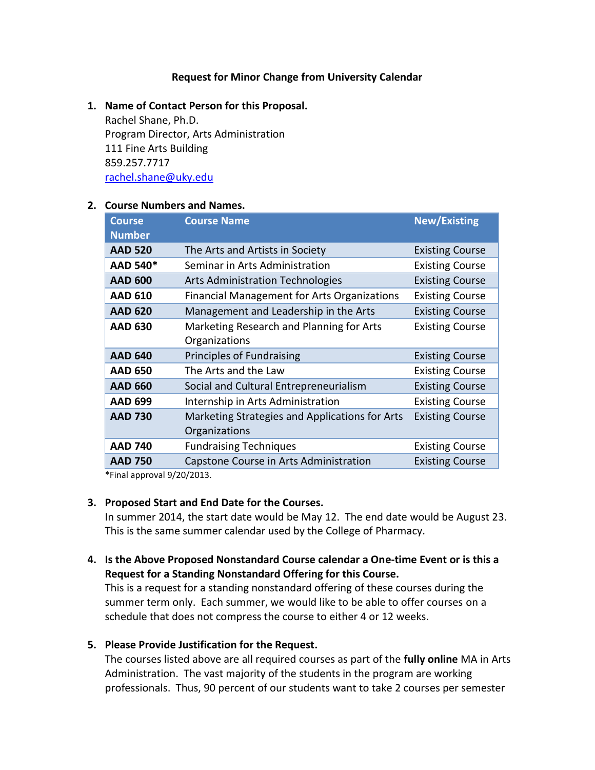## **Request for Minor Change from University Calendar**

## **1. Name of Contact Person for this Proposal.**

Rachel Shane, Ph.D. Program Director, Arts Administration 111 Fine Arts Building 859.257.7717 [rachel.shane@uky.edu](mailto:rachel.shane@uky.edu)

## **2. Course Numbers and Names.**

| <b>Course</b><br><b>Number</b> | <b>Course Name</b>                                              | <b>New/Existing</b>    |
|--------------------------------|-----------------------------------------------------------------|------------------------|
| <b>AAD 520</b>                 | The Arts and Artists in Society                                 | <b>Existing Course</b> |
| AAD 540*                       | Seminar in Arts Administration                                  | <b>Existing Course</b> |
| <b>AAD 600</b>                 | <b>Arts Administration Technologies</b>                         | <b>Existing Course</b> |
| <b>AAD 610</b>                 | <b>Financial Management for Arts Organizations</b>              | <b>Existing Course</b> |
| <b>AAD 620</b>                 | Management and Leadership in the Arts                           | <b>Existing Course</b> |
| <b>AAD 630</b>                 | Marketing Research and Planning for Arts<br>Organizations       | <b>Existing Course</b> |
| <b>AAD 640</b>                 | Principles of Fundraising                                       | <b>Existing Course</b> |
| <b>AAD 650</b>                 | The Arts and the Law                                            | <b>Existing Course</b> |
| <b>AAD 660</b>                 | Social and Cultural Entrepreneurialism                          | <b>Existing Course</b> |
| <b>AAD 699</b>                 | Internship in Arts Administration                               | <b>Existing Course</b> |
| <b>AAD 730</b>                 | Marketing Strategies and Applications for Arts<br>Organizations | <b>Existing Course</b> |
| <b>AAD 740</b>                 | <b>Fundraising Techniques</b>                                   | <b>Existing Course</b> |
| <b>AAD 750</b>                 | Capstone Course in Arts Administration                          | <b>Existing Course</b> |

\*Final approval 9/20/2013.

## **3. Proposed Start and End Date for the Courses.**

In summer 2014, the start date would be May 12. The end date would be August 23. This is the same summer calendar used by the College of Pharmacy.

**4. Is the Above Proposed Nonstandard Course calendar a One-time Event or is this a Request for a Standing Nonstandard Offering for this Course.** 

This is a request for a standing nonstandard offering of these courses during the summer term only. Each summer, we would like to be able to offer courses on a schedule that does not compress the course to either 4 or 12 weeks.

**5. Please Provide Justification for the Request.**

The courses listed above are all required courses as part of the **fully online** MA in Arts Administration. The vast majority of the students in the program are working professionals. Thus, 90 percent of our students want to take 2 courses per semester